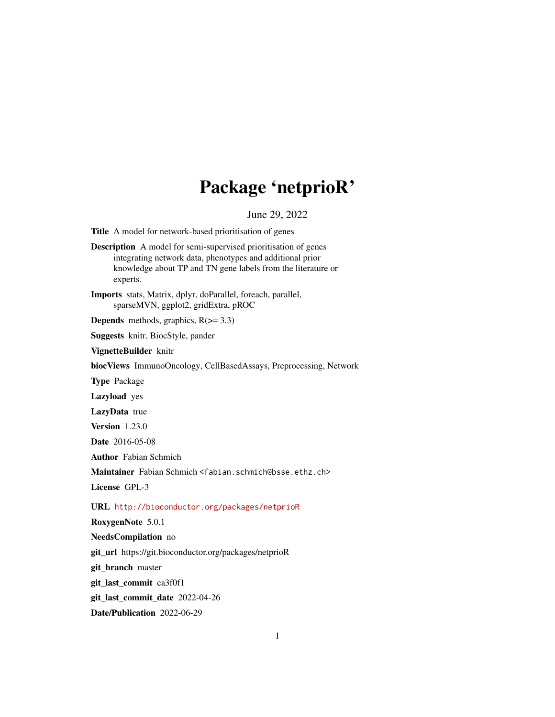# Package 'netprioR'

June 29, 2022

Title A model for network-based prioritisation of genes

Description A model for semi-supervised prioritisation of genes integrating network data, phenotypes and additional prior knowledge about TP and TN gene labels from the literature or experts.

Imports stats, Matrix, dplyr, doParallel, foreach, parallel, sparseMVN, ggplot2, gridExtra, pROC

**Depends** methods, graphics,  $R$ ( $> = 3.3$ )

Suggests knitr, BiocStyle, pander

VignetteBuilder knitr

biocViews ImmunoOncology, CellBasedAssays, Preprocessing, Network

Type Package

Lazyload yes

LazyData true

Version 1.23.0

Date 2016-05-08

Author Fabian Schmich

Maintainer Fabian Schmich <fabian.schmich@bsse.ethz.ch>

License GPL-3

URL <http://bioconductor.org/packages/netprioR>

RoxygenNote 5.0.1

NeedsCompilation no

git\_url https://git.bioconductor.org/packages/netprioR

git\_branch master

git\_last\_commit ca3f0f1

git\_last\_commit\_date 2022-04-26

Date/Publication 2022-06-29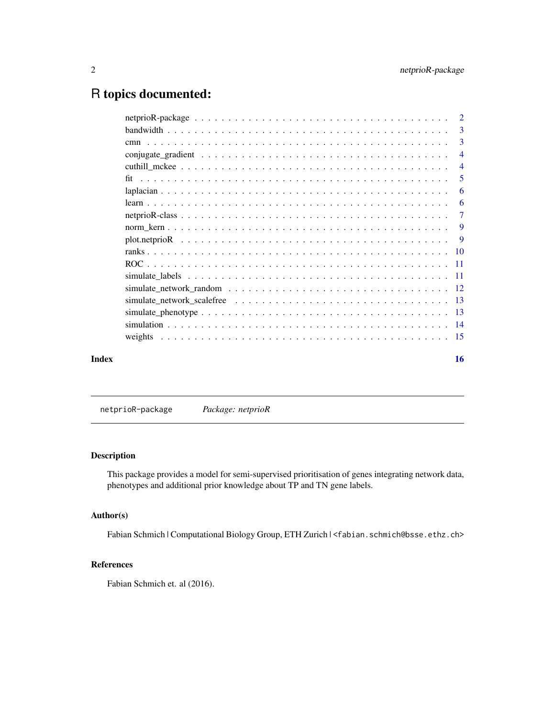## <span id="page-1-0"></span>R topics documented:

|       |                                                                                                        | 3              |
|-------|--------------------------------------------------------------------------------------------------------|----------------|
|       |                                                                                                        | $\overline{4}$ |
|       |                                                                                                        | $\overline{4}$ |
|       |                                                                                                        | -5             |
|       |                                                                                                        | -6             |
|       |                                                                                                        |                |
|       |                                                                                                        | $\overline{7}$ |
|       |                                                                                                        |                |
|       |                                                                                                        |                |
|       |                                                                                                        |                |
|       |                                                                                                        |                |
|       |                                                                                                        |                |
|       | simulate network random $\ldots \ldots \ldots \ldots \ldots \ldots \ldots \ldots \ldots \ldots \ldots$ |                |
|       |                                                                                                        |                |
|       |                                                                                                        |                |
|       |                                                                                                        |                |
|       |                                                                                                        |                |
| Index |                                                                                                        | 16             |

netprioR-package *Package: netprioR*

#### Description

This package provides a model for semi-supervised prioritisation of genes integrating network data, phenotypes and additional prior knowledge about TP and TN gene labels.

#### Author(s)

Fabian Schmich | Computational Biology Group, ETH Zurich | <fabian.schmich@bsse.ethz.ch>

#### References

Fabian Schmich et. al (2016).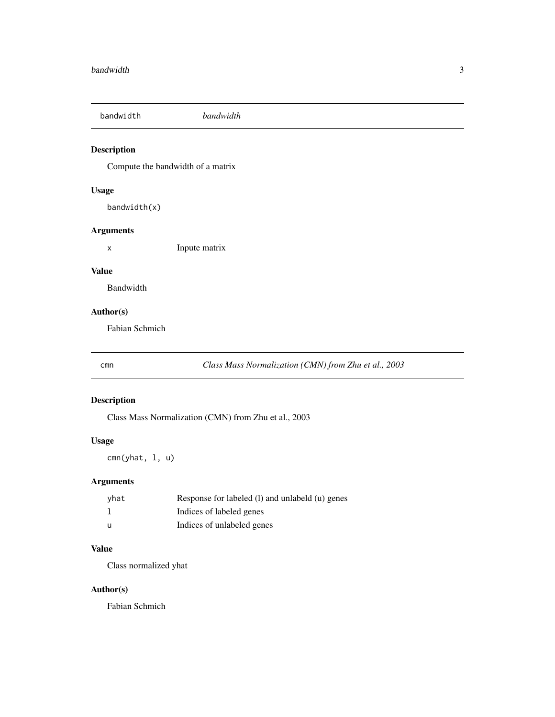<span id="page-2-0"></span>bandwidth *bandwidth*

#### Description

Compute the bandwidth of a matrix

#### Usage

bandwidth(x)

#### Arguments

x Inpute matrix

#### Value

Bandwidth

#### Author(s)

Fabian Schmich

cmn *Class Mass Normalization (CMN) from Zhu et al., 2003*

#### Description

Class Mass Normalization (CMN) from Zhu et al., 2003

#### Usage

cmn(yhat, l, u)

#### Arguments

| yhat | Response for labeled (1) and unlabeld (u) genes |
|------|-------------------------------------------------|
|      | Indices of labeled genes                        |
| - 11 | Indices of unlabeled genes                      |

#### Value

Class normalized yhat

#### Author(s)

Fabian Schmich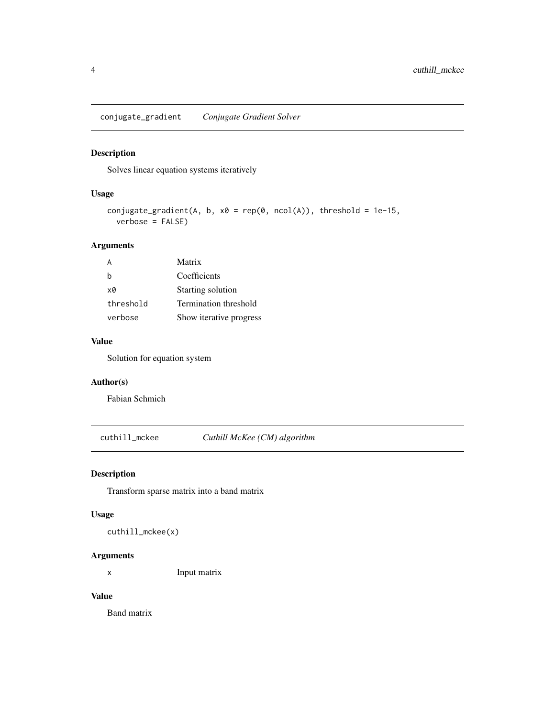<span id="page-3-0"></span>conjugate\_gradient *Conjugate Gradient Solver*

#### Description

Solves linear equation systems iteratively

#### Usage

```
conjugate_gradient(A, b, x0 = rep(0, ncol(A)), threshold = 1e-15,
 verbose = FALSE)
```
#### Arguments

| А         | Matrix                  |
|-----------|-------------------------|
| b         | Coefficients            |
| xØ        | Starting solution       |
| threshold | Termination threshold   |
| verbose   | Show iterative progress |

#### Value

Solution for equation system

#### Author(s)

Fabian Schmich

cuthill\_mckee *Cuthill McKee (CM) algorithm*

#### Description

Transform sparse matrix into a band matrix

#### Usage

cuthill\_mckee(x)

#### Arguments

x Input matrix

#### Value

Band matrix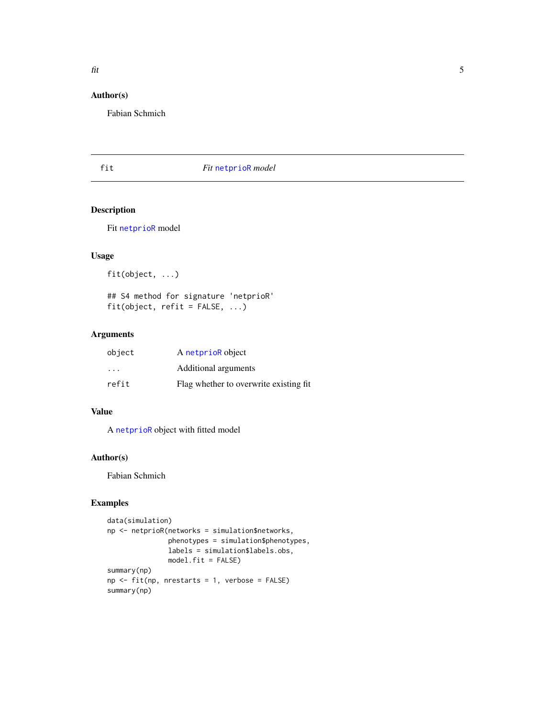### <span id="page-4-0"></span>Author(s)

Fabian Schmich

#### fit *Fit* [netprioR](#page-6-1) *model*

#### Description

Fit [netprioR](#page-6-1) model

#### Usage

fit(object, ...)

## S4 method for signature 'netprioR' fit(object, refit = FALSE, ...)

#### Arguments

| object                  | A netprior object                       |
|-------------------------|-----------------------------------------|
| $\cdot$ $\cdot$ $\cdot$ | Additional arguments                    |
| refit                   | Flag whether to overwrite existing fit. |

#### Value

A [netprioR](#page-6-1) object with fitted model

#### Author(s)

Fabian Schmich

```
data(simulation)
np <- netprioR(networks = simulation$networks,
              phenotypes = simulation$phenotypes,
              labels = simulation$labels.obs,
              model.fit = FALSE)
summary(np)
np <- fit(np, nrestarts = 1, verbose = FALSE)
summary(np)
```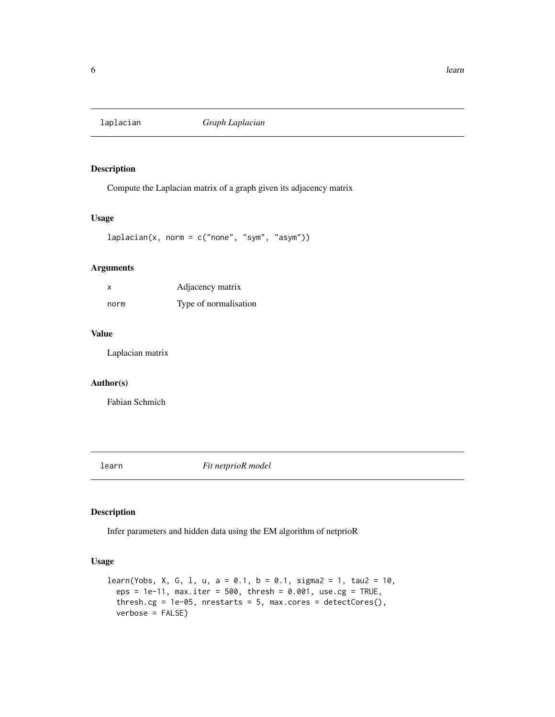<span id="page-5-0"></span>

Compute the Laplacian matrix of a graph given its adjacency matrix

#### Usage

```
laplacian(x, norm = c("none", "sym", "asym"))
```
#### Arguments

| X    | Adjacency matrix      |
|------|-----------------------|
| norm | Type of normalisation |

#### Value

Laplacian matrix

#### Author(s)

Fabian Schmich

learn *Fit netprioR model*

#### Description

Infer parameters and hidden data using the EM algorithm of netprioR

#### Usage

```
learn(Yobs, X, G, 1, u, a = 0.1, b = 0.1, sigma2 = 1, tau2 = 10,
  eps = 1e-11, max.iter = 500, thresh = 0.001, use.cg = TRUE,
  thresh.cg = 1e-05, nrestarts = 5, max.cores = detectCores(),
 verbose = FALSE)
```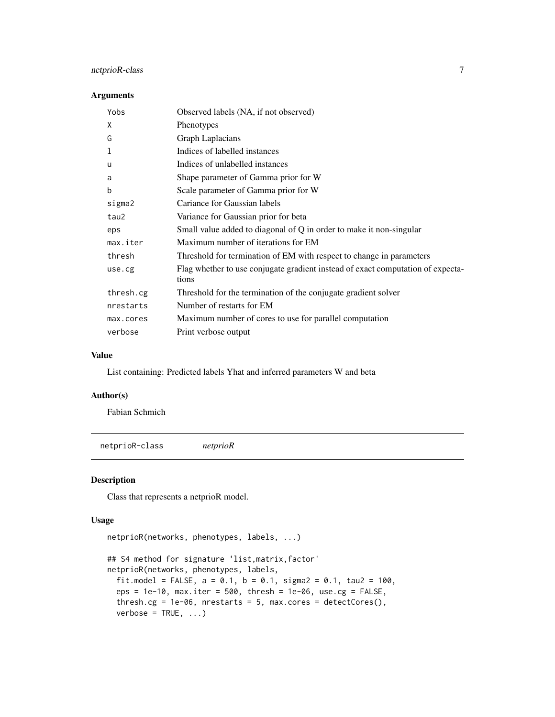#### <span id="page-6-0"></span>netprioR-class 7

#### Arguments

| Yobs      | Observed labels (NA, if not observed)                                                    |
|-----------|------------------------------------------------------------------------------------------|
| X         | Phenotypes                                                                               |
| G         | Graph Laplacians                                                                         |
| 1         | Indices of labelled instances                                                            |
| u         | Indices of unlabelled instances                                                          |
| a         | Shape parameter of Gamma prior for W                                                     |
| b         | Scale parameter of Gamma prior for W                                                     |
| sigma2    | Cariance for Gaussian labels                                                             |
| tau2      | Variance for Gaussian prior for beta                                                     |
| eps       | Small value added to diagonal of Q in order to make it non-singular                      |
| max.iter  | Maximum number of iterations for EM                                                      |
| thresh    | Threshold for termination of EM with respect to change in parameters                     |
| use.cg    | Flag whether to use conjugate gradient instead of exact computation of expecta-<br>tions |
| thresh.cg | Threshold for the termination of the conjugate gradient solver                           |
| nrestarts | Number of restarts for EM                                                                |
| max.cores | Maximum number of cores to use for parallel computation                                  |
| verbose   | Print verbose output                                                                     |

#### Value

List containing: Predicted labels Yhat and inferred parameters W and beta

#### Author(s)

Fabian Schmich

<span id="page-6-1"></span>netprioR-class *netprioR*

#### Description

Class that represents a netprioR model.

#### Usage

```
netprioR(networks, phenotypes, labels, ...)
## S4 method for signature 'list,matrix,factor'
netprioR(networks, phenotypes, labels,
  fit.model = FALSE, a = 0.1, b = 0.1, sigma2 = 0.1, tau2 = 100,
  eps = 1e-10, max.iter = 500, thresh = 1e-06, use.cg = FALSE,
  thresh.cg = 1e-06, nrestarts = 5, max.cores = detCores(),
  verbase = TRUE, ...)
```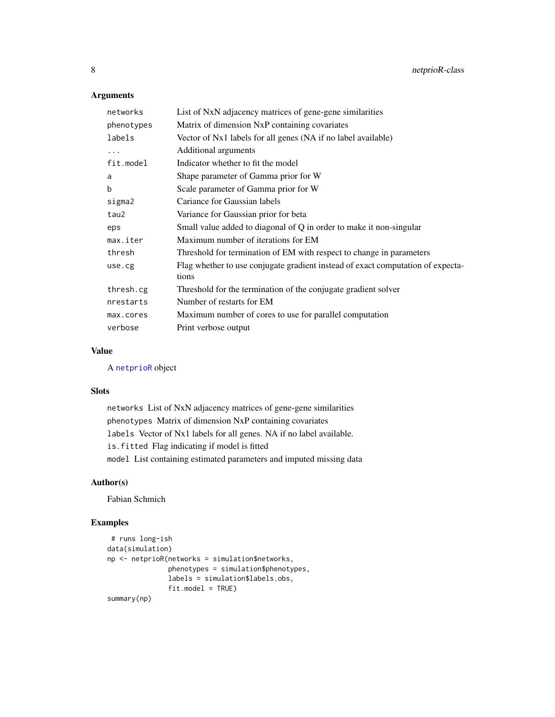#### Arguments

| networks   | List of NxN adjacency matrices of gene-gene similarities                                 |
|------------|------------------------------------------------------------------------------------------|
| phenotypes | Matrix of dimension NxP containing covariates                                            |
| labels     | Vector of Nx1 labels for all genes (NA if no label available)                            |
| $\ddots$   | Additional arguments                                                                     |
| fit.model  | Indicator whether to fit the model                                                       |
| a          | Shape parameter of Gamma prior for W                                                     |
| b          | Scale parameter of Gamma prior for W                                                     |
| sigma2     | Cariance for Gaussian labels                                                             |
| tau2       | Variance for Gaussian prior for beta                                                     |
| eps        | Small value added to diagonal of Q in order to make it non-singular                      |
| max.iter   | Maximum number of iterations for EM                                                      |
| thresh     | Threshold for termination of EM with respect to change in parameters                     |
| use.cg     | Flag whether to use conjugate gradient instead of exact computation of expecta-<br>tions |
| thresh.cg  | Threshold for the termination of the conjugate gradient solver                           |
| nrestarts  | Number of restarts for EM                                                                |
| max.cores  | Maximum number of cores to use for parallel computation                                  |
| verbose    | Print verbose output                                                                     |

#### Value

A [netprioR](#page-6-1) object

#### Slots

networks List of NxN adjacency matrices of gene-gene similarities phenotypes Matrix of dimension NxP containing covariates labels Vector of Nx1 labels for all genes. NA if no label available. is.fitted Flag indicating if model is fitted model List containing estimated parameters and imputed missing data

#### Author(s)

Fabian Schmich

```
# runs long-ish
data(simulation)
np <- netprioR(networks = simulation$networks,
               phenotypes = simulation$phenotypes,
              labels = simulation$labels.obs,
              fit.model = TRUE)
summary(np)
```
<span id="page-7-0"></span>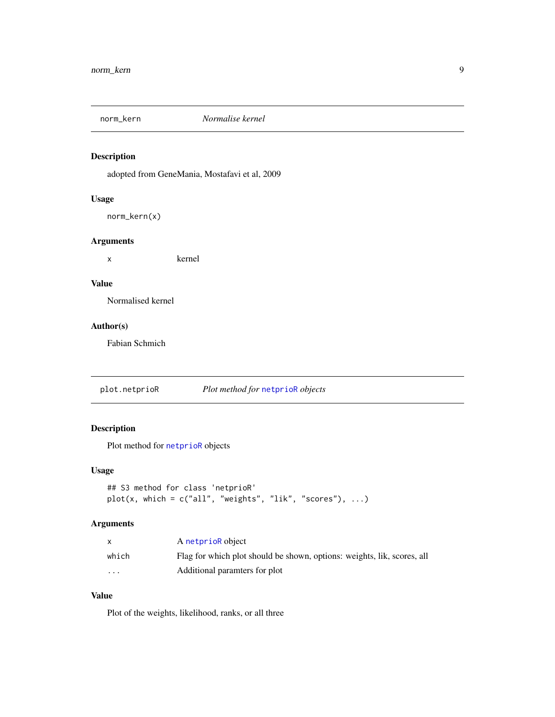<span id="page-8-0"></span>

adopted from GeneMania, Mostafavi et al, 2009

#### Usage

norm\_kern(x)

#### Arguments

x kernel

#### Value

Normalised kernel

#### Author(s)

Fabian Schmich

plot.netprioR *Plot method for* [netprioR](#page-6-1) *objects*

### Description

Plot method for [netprioR](#page-6-1) objects

#### Usage

```
## S3 method for class 'netprioR'
plot(x, which = c("all", "weights", "lik", "scores"), ...)
```
#### Arguments

|          | A netprioR object                                                       |
|----------|-------------------------------------------------------------------------|
| which    | Flag for which plot should be shown, options: weights, lik, scores, all |
| $\cdots$ | Additional paramters for plot                                           |

#### Value

Plot of the weights, likelihood, ranks, or all three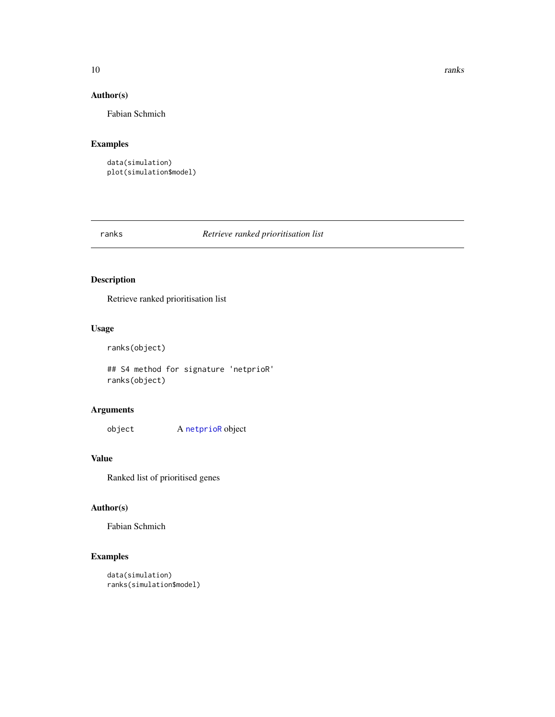#### <span id="page-9-0"></span>10 ranks

#### Author(s)

Fabian Schmich

#### Examples

```
data(simulation)
plot(simulation$model)
```
#### ranks *Retrieve ranked prioritisation list*

#### Description

Retrieve ranked prioritisation list

#### Usage

```
ranks(object)
```
## S4 method for signature 'netprioR' ranks(object)

#### Arguments

object A [netprioR](#page-6-1) object

#### Value

Ranked list of prioritised genes

#### Author(s)

Fabian Schmich

```
data(simulation)
ranks(simulation$model)
```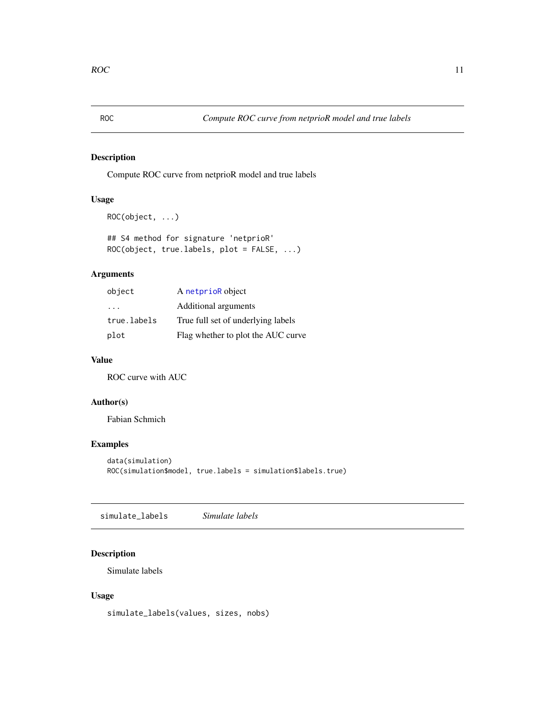<span id="page-10-0"></span>

Compute ROC curve from netprioR model and true labels

### Usage

```
ROC(object, ...)
```
## S4 method for signature 'netprioR' ROC(object, true.labels, plot = FALSE, ...)

### Arguments

| object      | A netprior object                  |
|-------------|------------------------------------|
| .           | Additional arguments               |
| true.labels | True full set of underlying labels |
| plot        | Flag whether to plot the AUC curve |

#### Value

ROC curve with AUC

#### Author(s)

Fabian Schmich

#### Examples

```
data(simulation)
ROC(simulation$model, true.labels = simulation$labels.true)
```
simulate\_labels *Simulate labels*

#### Description

Simulate labels

#### Usage

simulate\_labels(values, sizes, nobs)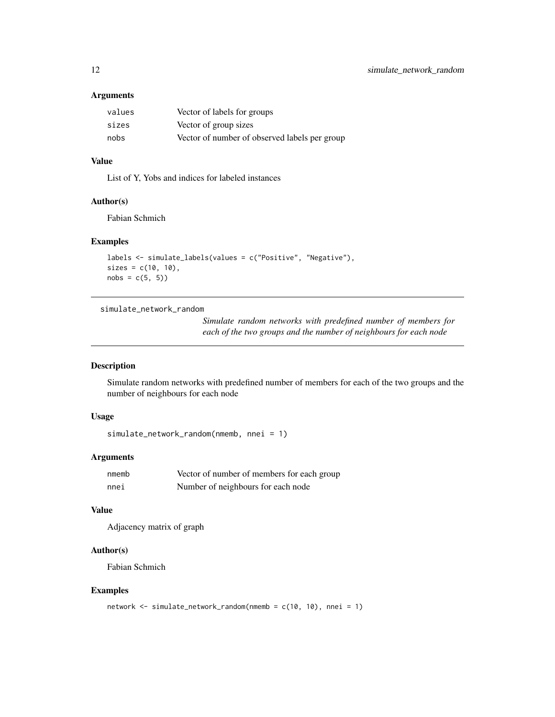#### <span id="page-11-0"></span>Arguments

| values | Vector of labels for groups                   |
|--------|-----------------------------------------------|
| sizes  | Vector of group sizes                         |
| nobs   | Vector of number of observed labels per group |

#### Value

List of Y, Yobs and indices for labeled instances

#### Author(s)

Fabian Schmich

#### Examples

```
labels <- simulate_labels(values = c("Positive", "Negative"),
sizes = c(10, 10),nobs = c(5, 5)
```
simulate\_network\_random

*Simulate random networks with predefined number of members for each of the two groups and the number of neighbours for each node*

#### Description

Simulate random networks with predefined number of members for each of the two groups and the number of neighbours for each node

#### Usage

```
simulate_network_random(nmemb, nnei = 1)
```
#### Arguments

| nmemb | Vector of number of members for each group |
|-------|--------------------------------------------|
| nnei  | Number of neighbours for each node         |

#### Value

Adjacency matrix of graph

#### Author(s)

Fabian Schmich

```
network <- simulate_network_random(nmemb = c(10, 10), nnei = 1)
```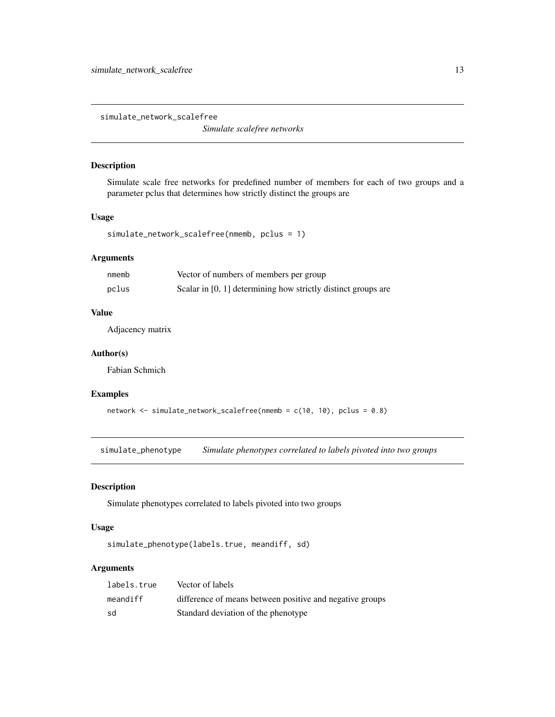<span id="page-12-0"></span>simulate\_network\_scalefree

*Simulate scalefree networks*

#### Description

Simulate scale free networks for predefined number of members for each of two groups and a parameter pclus that determines how strictly distinct the groups are

#### Usage

simulate\_network\_scalefree(nmemb, pclus = 1)

#### Arguments

| nmemb | Vector of numbers of members per group                        |
|-------|---------------------------------------------------------------|
| pclus | Scalar in [0, 1] determining how strictly distinct groups are |

#### Value

Adjacency matrix

#### Author(s)

Fabian Schmich

#### Examples

```
network <- simulate_network_scalefree(nmemb = c(10, 10), pclus = 0.8)
```
simulate\_phenotype *Simulate phenotypes correlated to labels pivoted into two groups*

#### Description

Simulate phenotypes correlated to labels pivoted into two groups

#### Usage

simulate\_phenotype(labels.true, meandiff, sd)

#### Arguments

| labels.true | Vector of labels                                         |
|-------------|----------------------------------------------------------|
| meandiff    | difference of means between positive and negative groups |
| sd          | Standard deviation of the phenotype                      |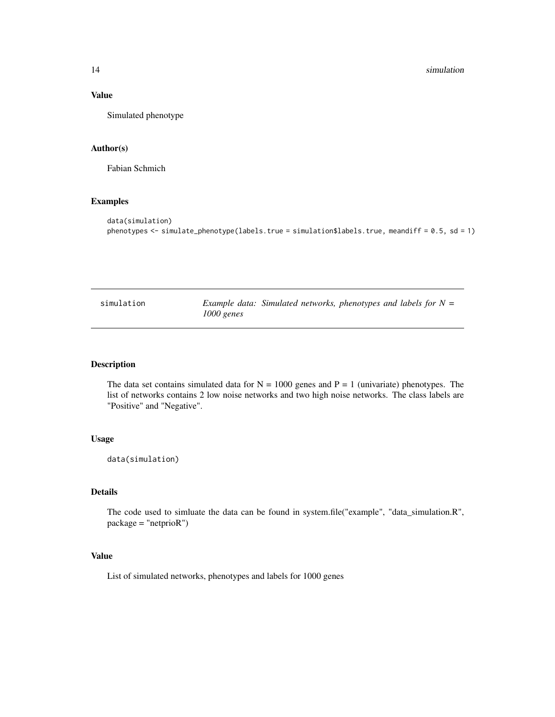#### <span id="page-13-0"></span>14 simulation and the state of the state of the state of the state of the state of the state of the state of the state of the state of the state of the state of the state of the state of the state of the state of the state

#### Value

Simulated phenotype

#### Author(s)

Fabian Schmich

#### Examples

```
data(simulation)
phenotypes <- simulate_phenotype(labels.true = simulation$labels.true, meandiff = 0.5, sd = 1)
```

| simulation | Example data: Simulated networks, phenotypes and labels for $N =$ |  |  |  |
|------------|-------------------------------------------------------------------|--|--|--|
|            | $1000$ genes                                                      |  |  |  |

#### Description

The data set contains simulated data for  $N = 1000$  genes and  $P = 1$  (univariate) phenotypes. The list of networks contains 2 low noise networks and two high noise networks. The class labels are "Positive" and "Negative".

#### Usage

data(simulation)

#### Details

The code used to simluate the data can be found in system.file("example", "data\_simulation.R", package = "netprioR")

#### Value

List of simulated networks, phenotypes and labels for 1000 genes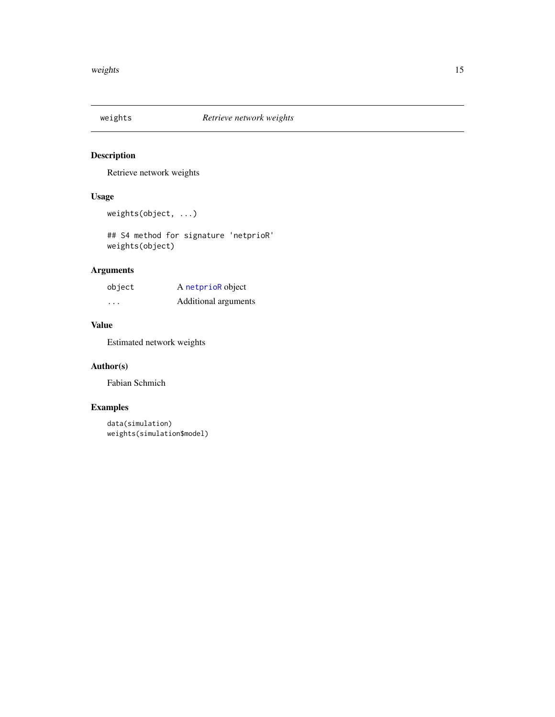<span id="page-14-0"></span>

Retrieve network weights

#### Usage

```
weights(object, ...)
```
## S4 method for signature 'netprioR' weights(object)

#### Arguments

| object | A netprioR object    |
|--------|----------------------|
| .      | Additional arguments |

#### Value

Estimated network weights

#### Author(s)

Fabian Schmich

```
data(simulation)
weights(simulation$model)
```